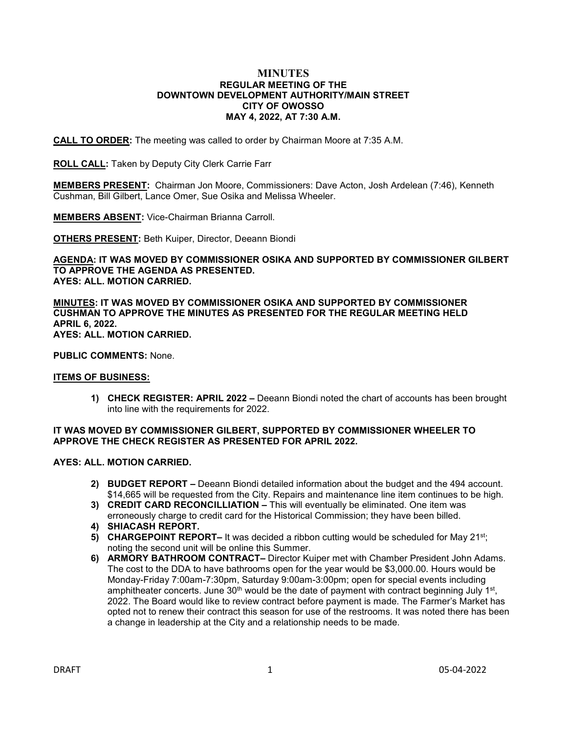### **MINUTES REGULAR MEETING OF THE DOWNTOWN DEVELOPMENT AUTHORITY/MAIN STREET CITY OF OWOSSO MAY 4, 2022, AT 7:30 A.M.**

**CALL TO ORDER:** The meeting was called to order by Chairman Moore at 7:35 A.M.

**ROLL CALL:** Taken by Deputy City Clerk Carrie Farr

**MEMBERS PRESENT:** Chairman Jon Moore, Commissioners: Dave Acton, Josh Ardelean (7:46), Kenneth Cushman, Bill Gilbert, Lance Omer, Sue Osika and Melissa Wheeler.

**MEMBERS ABSENT:** Vice-Chairman Brianna Carroll.

**OTHERS PRESENT:** Beth Kuiper, Director, Deeann Biondi

**AGENDA: IT WAS MOVED BY COMMISSIONER OSIKA AND SUPPORTED BY COMMISSIONER GILBERT TO APPROVE THE AGENDA AS PRESENTED. AYES: ALL. MOTION CARRIED.**

**MINUTES: IT WAS MOVED BY COMMISSIONER OSIKA AND SUPPORTED BY COMMISSIONER CUSHMAN TO APPROVE THE MINUTES AS PRESENTED FOR THE REGULAR MEETING HELD APRIL 6, 2022. AYES: ALL. MOTION CARRIED.**

**PUBLIC COMMENTS:** None.

# **ITEMS OF BUSINESS:**

**1) CHECK REGISTER: APRIL 2022 –** Deeann Biondi noted the chart of accounts has been brought into line with the requirements for 2022.

# **IT WAS MOVED BY COMMISSIONER GILBERT, SUPPORTED BY COMMISSIONER WHEELER TO APPROVE THE CHECK REGISTER AS PRESENTED FOR APRIL 2022.**

# **AYES: ALL. MOTION CARRIED.**

- **2) BUDGET REPORT –** Deeann Biondi detailed information about the budget and the 494 account. \$14,665 will be requested from the City. Repairs and maintenance line item continues to be high.
- **3) CREDIT CARD RECONCILLIATION –** This will eventually be eliminated. One item was erroneously charge to credit card for the Historical Commission; they have been billed.
- **4) SHIACASH REPORT.**
- **5) CHARGEPOINT REPORT–** It was decided a ribbon cutting would be scheduled for May 21<sup>st</sup>; noting the second unit will be online this Summer.
- **6) ARMORY BATHROOM CONTRACT–** Director Kuiper met with Chamber President John Adams. The cost to the DDA to have bathrooms open for the year would be \$3,000.00. Hours would be Monday-Friday 7:00am-7:30pm, Saturday 9:00am-3:00pm; open for special events including amphitheater concerts. June  $30<sup>th</sup>$  would be the date of payment with contract beginning July 1st, 2022. The Board would like to review contract before payment is made. The Farmer's Market has opted not to renew their contract this season for use of the restrooms. It was noted there has been a change in leadership at the City and a relationship needs to be made.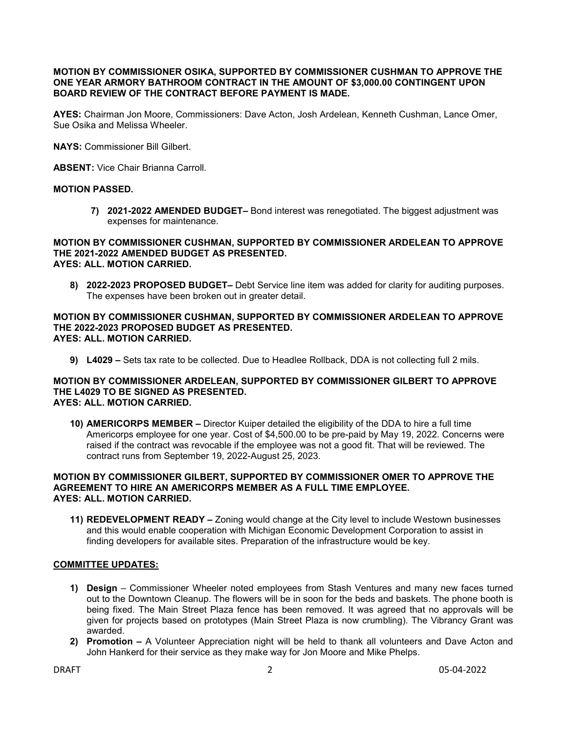# **MOTION BY COMMISSIONER OSIKA, SUPPORTED BY COMMISSIONER CUSHMAN TO APPROVE THE ONE YEAR ARMORY BATHROOM CONTRACT IN THE AMOUNT OF \$3,000.00 CONTINGENT UPON BOARD REVIEW OF THE CONTRACT BEFORE PAYMENT IS MADE.**

**AYES:** Chairman Jon Moore, Commissioners: Dave Acton, Josh Ardelean, Kenneth Cushman, Lance Omer, Sue Osika and Melissa Wheeler.

**NAYS:** Commissioner Bill Gilbert.

**ABSENT:** Vice Chair Brianna Carroll.

# **MOTION PASSED.**

**7) 2021-2022 AMENDED BUDGET–** Bond interest was renegotiated. The biggest adjustment was expenses for maintenance.

#### **MOTION BY COMMISSIONER CUSHMAN, SUPPORTED BY COMMISSIONER ARDELEAN TO APPROVE THE 2021-2022 AMENDED BUDGET AS PRESENTED. AYES: ALL. MOTION CARRIED.**

**8) 2022-2023 PROPOSED BUDGET–** Debt Service line item was added for clarity for auditing purposes. The expenses have been broken out in greater detail.

### **MOTION BY COMMISSIONER CUSHMAN, SUPPORTED BY COMMISSIONER ARDELEAN TO APPROVE THE 2022-2023 PROPOSED BUDGET AS PRESENTED. AYES: ALL. MOTION CARRIED.**

**9) L4029 –** Sets tax rate to be collected. Due to Headlee Rollback, DDA is not collecting full 2 mils.

### **MOTION BY COMMISSIONER ARDELEAN, SUPPORTED BY COMMISSIONER GILBERT TO APPROVE THE L4029 TO BE SIGNED AS PRESENTED. AYES: ALL. MOTION CARRIED.**

**10) AMERICORPS MEMBER –** Director Kuiper detailed the eligibility of the DDA to hire a full time Americorps employee for one year. Cost of \$4,500.00 to be pre-paid by May 19, 2022. Concerns were raised if the contract was revocable if the employee was not a good fit. That will be reviewed. The contract runs from September 19, 2022-August 25, 2023.

# **MOTION BY COMMISSIONER GILBERT, SUPPORTED BY COMMISSIONER OMER TO APPROVE THE AGREEMENT TO HIRE AN AMERICORPS MEMBER AS A FULL TIME EMPLOYEE. AYES: ALL. MOTION CARRIED.**

**11) REDEVELOPMENT READY –** Zoning would change at the City level to include Westown businesses and this would enable cooperation with Michigan Economic Development Corporation to assist in finding developers for available sites. Preparation of the infrastructure would be key.

# **COMMITTEE UPDATES:**

- **1) Design** Commissioner Wheeler noted employees from Stash Ventures and many new faces turned out to the Downtown Cleanup. The flowers will be in soon for the beds and baskets. The phone booth is being fixed. The Main Street Plaza fence has been removed. It was agreed that no approvals will be given for projects based on prototypes (Main Street Plaza is now crumbling). The Vibrancy Grant was awarded.
- **2) Promotion –** A Volunteer Appreciation night will be held to thank all volunteers and Dave Acton and John Hankerd for their service as they make way for Jon Moore and Mike Phelps.